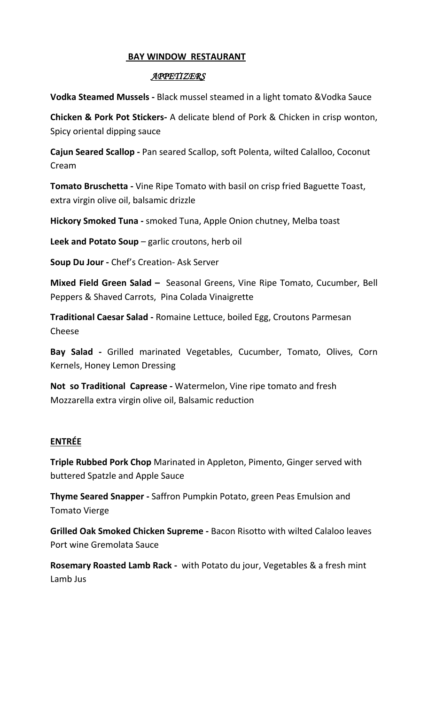## **BAY WINDOW RESTAURANT**

## *APPETIZERS*

**Vodka Steamed Mussels -** Black mussel steamed in a light tomato &Vodka Sauce

**Chicken & Pork Pot Stickers-** A delicate blend of Pork & Chicken in crisp wonton, Spicy oriental dipping sauce

**Cajun Seared Scallop -** Pan seared Scallop, soft Polenta, wilted Calalloo, Coconut Cream

**Tomato Bruschetta -** Vine Ripe Tomato with basil on crisp fried Baguette Toast, extra virgin olive oil, balsamic drizzle

**Hickory Smoked Tuna -** smoked Tuna, Apple Onion chutney, Melba toast

**Leek and Potato Soup** – garlic croutons, herb oil

**Soup Du Jour -** Chef's Creation- Ask Server

**Mixed Field Green Salad –** Seasonal Greens, Vine Ripe Tomato, Cucumber, Bell Peppers & Shaved Carrots, Pina Colada Vinaigrette

**Traditional Caesar Salad -** Romaine Lettuce, boiled Egg, Croutons Parmesan Cheese

**Bay Salad -** Grilled marinated Vegetables, Cucumber, Tomato, Olives, Corn Kernels, Honey Lemon Dressing

**Not so Traditional Caprease -** Watermelon, Vine ripe tomato and fresh Mozzarella extra virgin olive oil, Balsamic reduction

## **ENTRÉE**

**Triple Rubbed Pork Chop** Marinated in Appleton, Pimento, Ginger served with buttered Spatzle and Apple Sauce

**Thyme Seared Snapper -** Saffron Pumpkin Potato, green Peas Emulsion and Tomato Vierge

**Grilled Oak Smoked Chicken Supreme -** Bacon Risotto with wilted Calaloo leaves Port wine Gremolata Sauce

**Rosemary Roasted Lamb Rack -** with Potato du jour, Vegetables & a fresh mint Lamb Jus